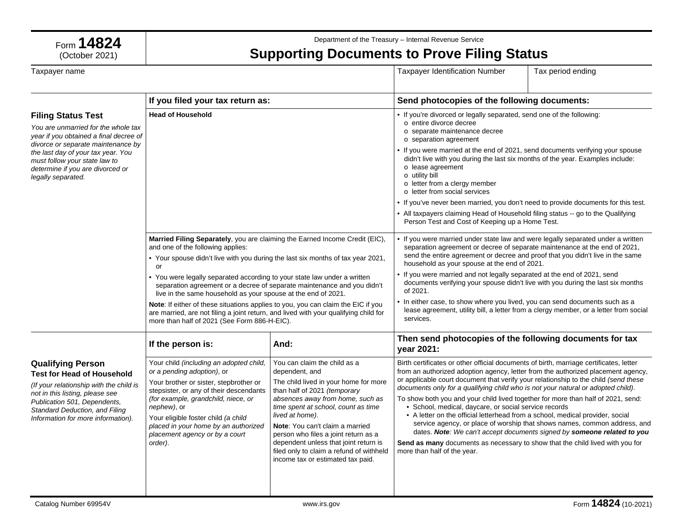

Department of the Treasury – Internal Revenue Service

## **Supporting Documents to Prove Filing Status**

| Taxpayer name                                                                                                                                                                                                                                       |                                                                                                                                                                                                                                                                                                                                              |                                                                                                                                                                                                                                                                                                                                                                                                                            | <b>Taxpayer Identification Number</b>                                                                                                                                                                                                                                                                                                                                                                                                                                                                                                                                                                                                                                                                      | Tax period ending                                                                                                                                    |
|-----------------------------------------------------------------------------------------------------------------------------------------------------------------------------------------------------------------------------------------------------|----------------------------------------------------------------------------------------------------------------------------------------------------------------------------------------------------------------------------------------------------------------------------------------------------------------------------------------------|----------------------------------------------------------------------------------------------------------------------------------------------------------------------------------------------------------------------------------------------------------------------------------------------------------------------------------------------------------------------------------------------------------------------------|------------------------------------------------------------------------------------------------------------------------------------------------------------------------------------------------------------------------------------------------------------------------------------------------------------------------------------------------------------------------------------------------------------------------------------------------------------------------------------------------------------------------------------------------------------------------------------------------------------------------------------------------------------------------------------------------------------|------------------------------------------------------------------------------------------------------------------------------------------------------|
|                                                                                                                                                                                                                                                     | If you filed your tax return as:                                                                                                                                                                                                                                                                                                             |                                                                                                                                                                                                                                                                                                                                                                                                                            | Send photocopies of the following documents:                                                                                                                                                                                                                                                                                                                                                                                                                                                                                                                                                                                                                                                               |                                                                                                                                                      |
| <b>Filing Status Test</b><br>You are unmarried for the whole tax<br>year if you obtained a final decree of<br>divorce or separate maintenance by                                                                                                    | <b>Head of Household</b>                                                                                                                                                                                                                                                                                                                     |                                                                                                                                                                                                                                                                                                                                                                                                                            | • If you're divorced or legally separated, send one of the following:<br>o entire divorce decree<br>o separate maintenance decree<br>o separation agreement                                                                                                                                                                                                                                                                                                                                                                                                                                                                                                                                                |                                                                                                                                                      |
| the last day of your tax year. You<br>must follow your state law to<br>determine if you are divorced or<br>legally separated.                                                                                                                       |                                                                                                                                                                                                                                                                                                                                              |                                                                                                                                                                                                                                                                                                                                                                                                                            | • If you were married at the end of 2021, send documents verifying your spouse<br>didn't live with you during the last six months of the year. Examples include:<br>o lease agreement<br>o utility bill<br>o letter from a clergy member<br>o letter from social services                                                                                                                                                                                                                                                                                                                                                                                                                                  |                                                                                                                                                      |
|                                                                                                                                                                                                                                                     |                                                                                                                                                                                                                                                                                                                                              |                                                                                                                                                                                                                                                                                                                                                                                                                            | . If you've never been married, you don't need to provide documents for this test.<br>• All taxpayers claiming Head of Household filing status -- go to the Qualifying<br>Person Test and Cost of Keeping up a Home Test.                                                                                                                                                                                                                                                                                                                                                                                                                                                                                  |                                                                                                                                                      |
|                                                                                                                                                                                                                                                     | Married Filing Separately, you are claiming the Earned Income Credit (EIC),<br>and one of the following applies:<br>• Your spouse didn't live with you during the last six months of tax year 2021,<br>or                                                                                                                                    |                                                                                                                                                                                                                                                                                                                                                                                                                            | • If you were married under state law and were legally separated under a written<br>separation agreement or decree of separate maintenance at the end of 2021,<br>send the entire agreement or decree and proof that you didn't live in the same<br>household as your spouse at the end of 2021.                                                                                                                                                                                                                                                                                                                                                                                                           |                                                                                                                                                      |
|                                                                                                                                                                                                                                                     | • You were legally separated according to your state law under a written<br>separation agreement or a decree of separate maintenance and you didn't<br>live in the same household as your spouse at the end of 2021.                                                                                                                         |                                                                                                                                                                                                                                                                                                                                                                                                                            | • If you were married and not legally separated at the end of 2021, send<br>documents verifying your spouse didn't live with you during the last six months<br>of 2021.                                                                                                                                                                                                                                                                                                                                                                                                                                                                                                                                    |                                                                                                                                                      |
|                                                                                                                                                                                                                                                     | Note: If either of these situations applies to you, you can claim the EIC if you<br>are married, are not filing a joint return, and lived with your qualifying child for<br>more than half of 2021 (See Form 886-H-EIC).                                                                                                                     |                                                                                                                                                                                                                                                                                                                                                                                                                            | • In either case, to show where you lived, you can send documents such as a<br>lease agreement, utility bill, a letter from a clergy member, or a letter from social<br>services.                                                                                                                                                                                                                                                                                                                                                                                                                                                                                                                          |                                                                                                                                                      |
|                                                                                                                                                                                                                                                     | If the person is:                                                                                                                                                                                                                                                                                                                            | And:                                                                                                                                                                                                                                                                                                                                                                                                                       | Then send photocopies of the following documents for tax<br>year 2021:                                                                                                                                                                                                                                                                                                                                                                                                                                                                                                                                                                                                                                     |                                                                                                                                                      |
| <b>Qualifying Person</b><br><b>Test for Head of Household</b><br>(If your relationship with the child is<br>not in this listing, please see<br>Publication 501, Dependents,<br>Standard Deduction, and Filing<br>Information for more information). | Your child (including an adopted child,<br>or a pending adoption), or<br>Your brother or sister, stepbrother or<br>stepsister, or any of their descendants<br>(for example, grandchild, niece, or<br>nephew), or<br>Your eligible foster child (a child<br>placed in your home by an authorized<br>placement agency or by a court<br>order). | You can claim the child as a<br>dependent, and<br>The child lived in your home for more<br>than half of 2021 (temporary<br>absences away from home, such as<br>time spent at school, count as time<br>lived at home).<br>Note: You can't claim a married<br>person who files a joint return as a<br>dependent unless that joint return is<br>filed only to claim a refund of withheld<br>income tax or estimated tax paid. | Birth certificates or other official documents of birth, marriage certificates, letter<br>from an authorized adoption agency, letter from the authorized placement agency,<br>or applicable court document that verify your relationship to the child (send these<br>documents only for a qualifying child who is not your natural or adopted child).<br>To show both you and your child lived together for more than half of 2021, send:<br>• School, medical, daycare, or social service records<br>• A letter on the official letterhead from a school, medical provider, social<br><b>Send as many</b> documents as necessary to show that the child lived with you for<br>more than half of the year. | service agency, or place of worship that shows names, common address, and<br>dates. Note: We can't accept documents signed by someone related to you |